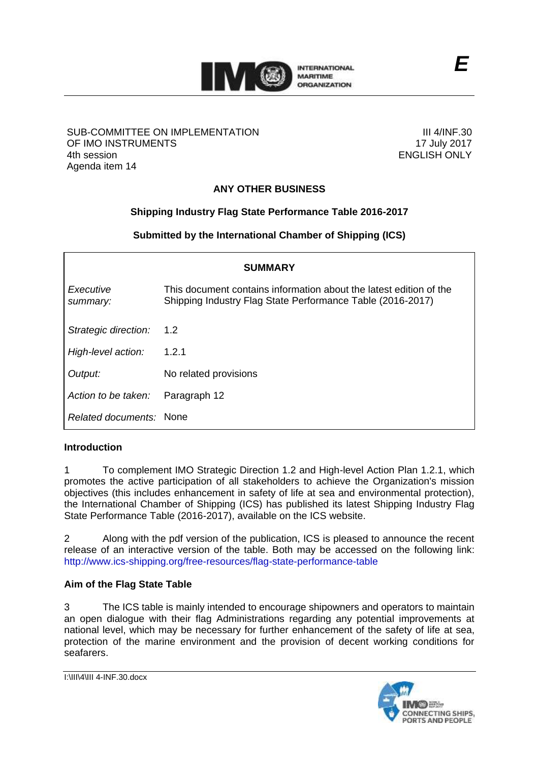

### SUB-COMMITTEE ON IMPLEMENTATION OF IMO INSTRUMENTS 4th session Agenda item 14

III 4/INF.30 17 July 2017 ENGLISH ONLY

# **ANY OTHER BUSINESS**

## **Shipping Industry Flag State Performance Table 2016-2017**

**Submitted by the International Chamber of Shipping (ICS)**

| <b>SUMMARY</b>          |                                                                                                                                  |
|-------------------------|----------------------------------------------------------------------------------------------------------------------------------|
| Executive<br>summary:   | This document contains information about the latest edition of the<br>Shipping Industry Flag State Performance Table (2016-2017) |
| Strategic direction:    | $1.2^{\circ}$                                                                                                                    |
| High-level action:      | 1.2.1                                                                                                                            |
| Output:                 | No related provisions                                                                                                            |
| Action to be taken:     | Paragraph 12                                                                                                                     |
| Related documents: None |                                                                                                                                  |

## **Introduction**

1 To complement IMO Strategic Direction 1.2 and High-level Action Plan 1.2.1, which promotes the active participation of all stakeholders to achieve the Organization's mission objectives (this includes enhancement in safety of life at sea and environmental protection), the International Chamber of Shipping (ICS) has published its latest Shipping Industry Flag State Performance Table (2016-2017), available on the ICS website.

2 Along with the pdf version of the publication, ICS is pleased to announce the recent release of an interactive version of the table. Both may be accessed on the following link: <http://www.ics-shipping.org/free-resources/flag-state-performance-table>

## **Aim of the Flag State Table**

3 The ICS table is mainly intended to encourage shipowners and operators to maintain an open dialogue with their flag Administrations regarding any potential improvements at national level, which may be necessary for further enhancement of the safety of life at sea, protection of the marine environment and the provision of decent working conditions for seafarers.

```
I:\III\4\III 4-INF.30.docx
```
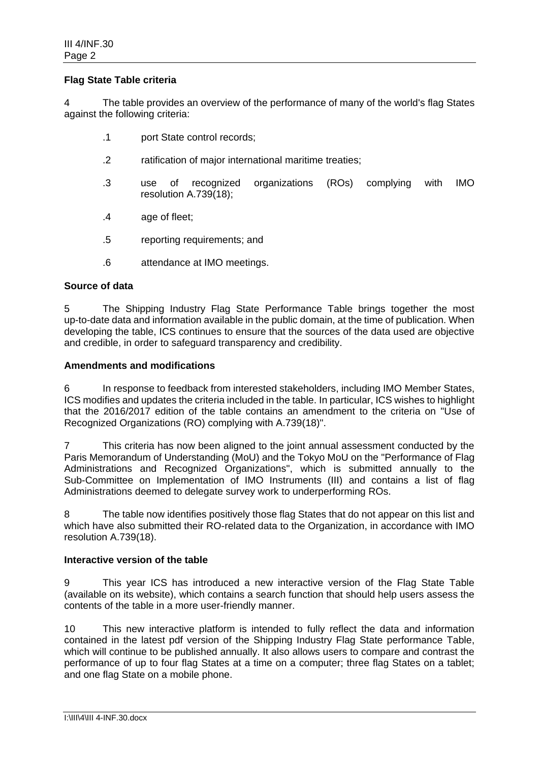### **Flag State Table criteria**

4 The table provides an overview of the performance of many of the world's flag States against the following criteria:

- .1 port State control records;
- .2 ratification of major international maritime treaties;
- .3 use of recognized organizations (ROs) complying with IMO resolution A.739(18);
- .4 age of fleet;
- .5 reporting requirements; and
- .6 attendance at IMO meetings.

#### **Source of data**

5 The Shipping Industry Flag State Performance Table brings together the most up-to-date data and information available in the public domain, at the time of publication. When developing the table, ICS continues to ensure that the sources of the data used are objective and credible, in order to safeguard transparency and credibility.

### **Amendments and modifications**

6 In response to feedback from interested stakeholders, including IMO Member States, ICS modifies and updates the criteria included in the table. In particular, ICS wishes to highlight that the 2016/2017 edition of the table contains an amendment to the criteria on "Use of Recognized Organizations (RO) complying with A.739(18)".

7 This criteria has now been aligned to the joint annual assessment conducted by the Paris Memorandum of Understanding (MoU) and the Tokyo MoU on the "Performance of Flag Administrations and Recognized Organizations", which is submitted annually to the Sub-Committee on Implementation of IMO Instruments (III) and contains a list of flag Administrations deemed to delegate survey work to underperforming ROs.

8 The table now identifies positively those flag States that do not appear on this list and which have also submitted their RO-related data to the Organization, in accordance with IMO resolution A.739(18).

#### **Interactive version of the table**

9 This year ICS has introduced a new interactive version of the Flag State Table (available on its website), which contains a search function that should help users assess the contents of the table in a more user-friendly manner.

10 This new interactive platform is intended to fully reflect the data and information contained in the latest pdf version of the Shipping Industry Flag State performance Table, which will continue to be published annually. It also allows users to compare and contrast the performance of up to four flag States at a time on a computer; three flag States on a tablet; and one flag State on a mobile phone.